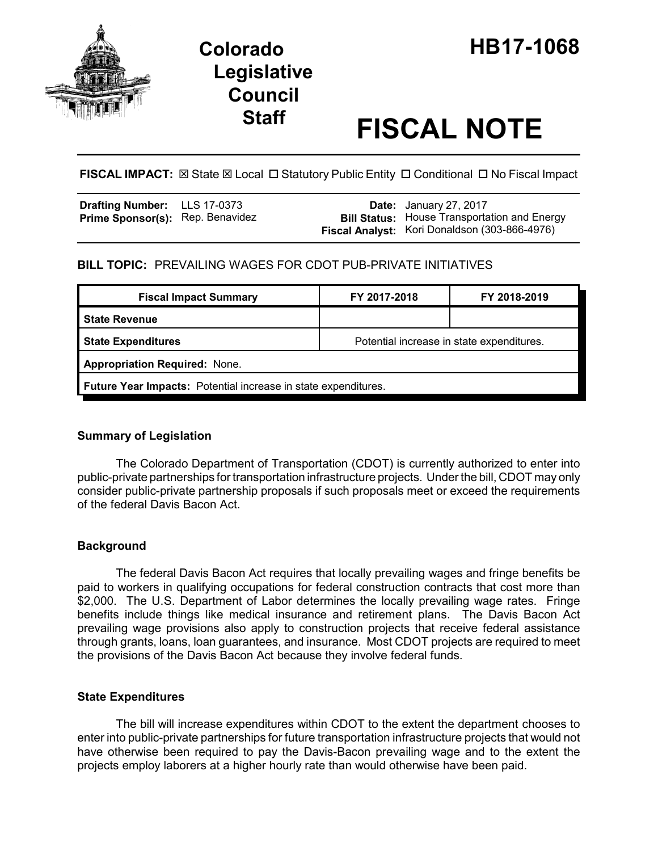

# **Legislative Council**

# **Staff FISCAL NOTE**

FISCAL IMPACT:  $\boxtimes$  State  $\boxtimes$  Local  $\Box$  Statutory Public Entity  $\Box$  Conditional  $\Box$  No Fiscal Impact

| <b>Drafting Number:</b> LLS 17-0373     |  | <b>Date:</b> January 27, 2017                       |
|-----------------------------------------|--|-----------------------------------------------------|
| <b>Prime Sponsor(s): Rep. Benavidez</b> |  | <b>Bill Status:</b> House Transportation and Energy |
|                                         |  | Fiscal Analyst: Kori Donaldson (303-866-4976)       |

# **BILL TOPIC:** PREVAILING WAGES FOR CDOT PUB-PRIVATE INITIATIVES

| <b>Fiscal Impact Summary</b>                                   | FY 2017-2018                              | FY 2018-2019 |  |  |  |
|----------------------------------------------------------------|-------------------------------------------|--------------|--|--|--|
| <b>State Revenue</b>                                           |                                           |              |  |  |  |
| <b>State Expenditures</b>                                      | Potential increase in state expenditures. |              |  |  |  |
| <b>Appropriation Required: None.</b>                           |                                           |              |  |  |  |
| Future Year Impacts: Potential increase in state expenditures. |                                           |              |  |  |  |

## **Summary of Legislation**

The Colorado Department of Transportation (CDOT) is currently authorized to enter into public-private partnerships for transportation infrastructure projects. Under the bill, CDOT may only consider public-private partnership proposals if such proposals meet or exceed the requirements of the federal Davis Bacon Act.

## **Background**

The federal Davis Bacon Act requires that locally prevailing wages and fringe benefits be paid to workers in qualifying occupations for federal construction contracts that cost more than \$2,000. The U.S. Department of Labor determines the locally prevailing wage rates. Fringe benefits include things like medical insurance and retirement plans. The Davis Bacon Act prevailing wage provisions also apply to construction projects that receive federal assistance through grants, loans, loan guarantees, and insurance. Most CDOT projects are required to meet the provisions of the Davis Bacon Act because they involve federal funds.

#### **State Expenditures**

The bill will increase expenditures within CDOT to the extent the department chooses to enter into public-private partnerships for future transportation infrastructure projects that would not have otherwise been required to pay the Davis-Bacon prevailing wage and to the extent the projects employ laborers at a higher hourly rate than would otherwise have been paid.